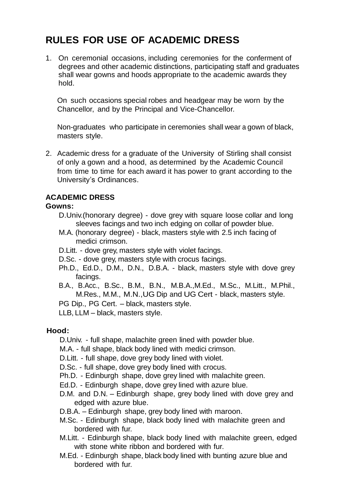## **RULES FOR USE OF ACADEMIC DRESS**

1. On ceremonial occasions, including ceremonies for the conferment of degrees and other academic distinctions, participating staff and graduates shall wear gowns and hoods appropriate to the academic awards they hold.

On such occasions special robes and headgear may be worn by the Chancellor, and by the Principal and Vice-Chancellor.

Non-graduates who participate in ceremonies shall wear a gown of black, masters style.

2. Academic dress for a graduate of the University of Stirling shall consist of only a gown and a hood, as determined by the Academic Council from time to time for each award it has power to grant according to the University's Ordinances.

## **ACADEMIC DRESS**

## **Gowns:**

- D.Univ.(honorary degree) dove grey with square loose collar and long sleeves facings and two inch edging on collar of powder blue.
- M.A. (honorary degree) black, masters style with 2.5 inch facing of medici crimson.
- D.Litt. dove grey, masters style with violet facings.
- D.Sc. dove grey, masters style with crocus facings.
- Ph.D., Ed.D., D.M., D.N., D.B.A. black, masters style with dove grey facings.
- B.A., B.Acc., B.Sc., B.M., B.N., M.B.A.,M.Ed., M.Sc., M.Litt., M.Phil., M.Res., M.M., M.N.,UG Dip and UG Cert - black, masters style.
- PG Dip., PG Cert. black, masters style.
- LLB, LLM black, masters style.

## **Hood:**

- D.Univ. full shape, malachite green lined with powder blue.
- M.A. full shape, black body lined with medici crimson.
- D.Litt. full shape, dove grey body lined with violet.
- D.Sc. full shape, dove grey body lined with crocus.
- Ph.D. Edinburgh shape, dove grey lined with malachite green.
- Ed.D. Edinburgh shape, dove grey lined with azure blue.
- D.M. and D.N. Edinburgh shape, grey body lined with dove grey and edged with azure blue.
- D.B.A. Edinburgh shape, grey body lined with maroon.
- M.Sc. Edinburgh shape, black body lined with malachite green and bordered with fur.
- M.Litt. Edinburgh shape, black body lined with malachite green, edged with stone white ribbon and bordered with fur.
- M.Ed. Edinburgh shape, black body lined with bunting azure blue and bordered with fur.